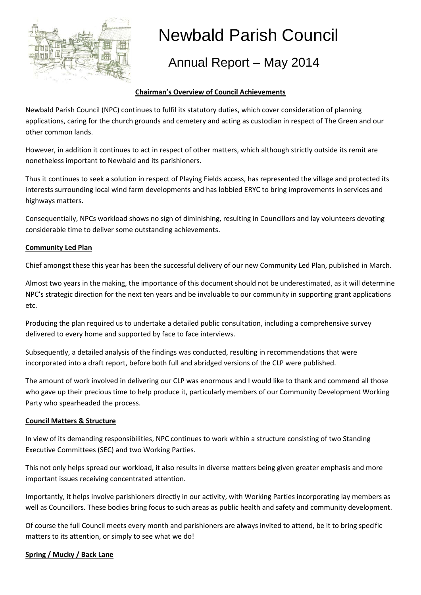

# Newbald Parish Council

## Annual Report – May 2014

#### **Chairman's Overview of Council Achievements**

Newbald Parish Council (NPC) continues to fulfil its statutory duties, which cover consideration of planning applications, caring for the church grounds and cemetery and acting as custodian in respect of The Green and our other common lands.

However, in addition it continues to act in respect of other matters, which although strictly outside its remit are nonetheless important to Newbald and its parishioners.

Thus it continues to seek a solution in respect of Playing Fields access, has represented the village and protected its interests surrounding local wind farm developments and has lobbied ERYC to bring improvements in services and highways matters.

Consequentially, NPCs workload shows no sign of diminishing, resulting in Councillors and lay volunteers devoting considerable time to deliver some outstanding achievements.

#### **Community Led Plan**

Chief amongst these this year has been the successful delivery of our new Community Led Plan, published in March.

Almost two years in the making, the importance of this document should not be underestimated, as it will determine NPC's strategic direction for the next ten years and be invaluable to our community in supporting grant applications etc.

Producing the plan required us to undertake a detailed public consultation, including a comprehensive survey delivered to every home and supported by face to face interviews.

Subsequently, a detailed analysis of the findings was conducted, resulting in recommendations that were incorporated into a draft report, before both full and abridged versions of the CLP were published.

The amount of work involved in delivering our CLP was enormous and I would like to thank and commend all those who gave up their precious time to help produce it, particularly members of our Community Development Working Party who spearheaded the process.

#### **Council Matters & Structure**

In view of its demanding responsibilities, NPC continues to work within a structure consisting of two Standing Executive Committees (SEC) and two Working Parties.

This not only helps spread our workload, it also results in diverse matters being given greater emphasis and more important issues receiving concentrated attention.

Importantly, it helps involve parishioners directly in our activity, with Working Parties incorporating lay members as well as Councillors. These bodies bring focus to such areas as public health and safety and community development.

Of course the full Council meets every month and parishioners are always invited to attend, be it to bring specific matters to its attention, or simply to see what we do!

#### **Spring / Mucky / Back Lane**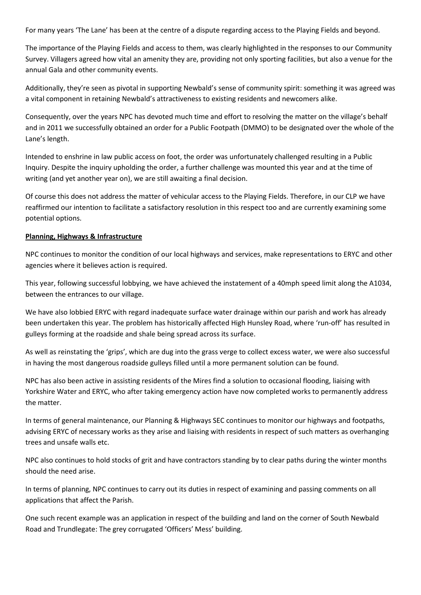For many years 'The Lane' has been at the centre of a dispute regarding access to the Playing Fields and beyond.

The importance of the Playing Fields and access to them, was clearly highlighted in the responses to our Community Survey. Villagers agreed how vital an amenity they are, providing not only sporting facilities, but also a venue for the annual Gala and other community events.

Additionally, they're seen as pivotal in supporting Newbald's sense of community spirit: something it was agreed was a vital component in retaining Newbald's attractiveness to existing residents and newcomers alike.

Consequently, over the years NPC has devoted much time and effort to resolving the matter on the village's behalf and in 2011 we successfully obtained an order for a Public Footpath (DMMO) to be designated over the whole of the Lane's length.

Intended to enshrine in law public access on foot, the order was unfortunately challenged resulting in a Public Inquiry. Despite the inquiry upholding the order, a further challenge was mounted this year and at the time of writing (and yet another year on), we are still awaiting a final decision.

Of course this does not address the matter of vehicular access to the Playing Fields. Therefore, in our CLP we have reaffirmed our intention to facilitate a satisfactory resolution in this respect too and are currently examining some potential options.

#### **Planning, Highways & Infrastructure**

NPC continues to monitor the condition of our local highways and services, make representations to ERYC and other agencies where it believes action is required.

This year, following successful lobbying, we have achieved the instatement of a 40mph speed limit along the A1034, between the entrances to our village.

We have also lobbied ERYC with regard inadequate surface water drainage within our parish and work has already been undertaken this year. The problem has historically affected High Hunsley Road, where 'run-off' has resulted in gulleys forming at the roadside and shale being spread across its surface.

As well as reinstating the 'grips', which are dug into the grass verge to collect excess water, we were also successful in having the most dangerous roadside gulleys filled until a more permanent solution can be found.

NPC has also been active in assisting residents of the Mires find a solution to occasional flooding, liaising with Yorkshire Water and ERYC, who after taking emergency action have now completed works to permanently address the matter.

In terms of general maintenance, our Planning & Highways SEC continues to monitor our highways and footpaths, advising ERYC of necessary works as they arise and liaising with residents in respect of such matters as overhanging trees and unsafe walls etc.

NPC also continues to hold stocks of grit and have contractors standing by to clear paths during the winter months should the need arise.

In terms of planning, NPC continues to carry out its duties in respect of examining and passing comments on all applications that affect the Parish.

One such recent example was an application in respect of the building and land on the corner of South Newbald Road and Trundlegate: The grey corrugated 'Officers' Mess' building.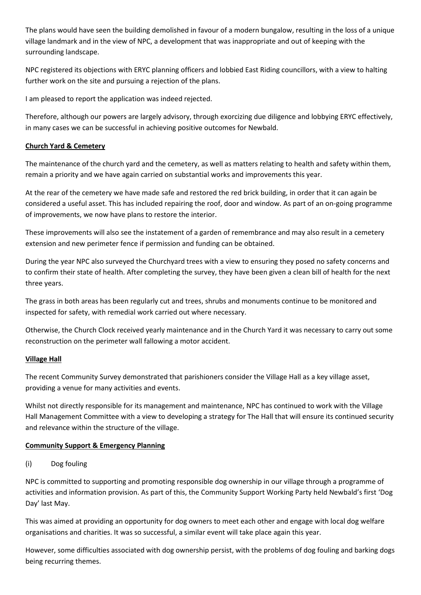The plans would have seen the building demolished in favour of a modern bungalow, resulting in the loss of a unique village landmark and in the view of NPC, a development that was inappropriate and out of keeping with the surrounding landscape.

NPC registered its objections with ERYC planning officers and lobbied East Riding councillors, with a view to halting further work on the site and pursuing a rejection of the plans.

I am pleased to report the application was indeed rejected.

Therefore, although our powers are largely advisory, through exorcizing due diligence and lobbying ERYC effectively, in many cases we can be successful in achieving positive outcomes for Newbald.

#### **Church Yard & Cemetery**

The maintenance of the church yard and the cemetery, as well as matters relating to health and safety within them, remain a priority and we have again carried on substantial works and improvements this year.

At the rear of the cemetery we have made safe and restored the red brick building, in order that it can again be considered a useful asset. This has included repairing the roof, door and window. As part of an on-going programme of improvements, we now have plans to restore the interior.

These improvements will also see the instatement of a garden of remembrance and may also result in a cemetery extension and new perimeter fence if permission and funding can be obtained.

During the year NPC also surveyed the Churchyard trees with a view to ensuring they posed no safety concerns and to confirm their state of health. After completing the survey, they have been given a clean bill of health for the next three years.

The grass in both areas has been regularly cut and trees, shrubs and monuments continue to be monitored and inspected for safety, with remedial work carried out where necessary.

Otherwise, the Church Clock received yearly maintenance and in the Church Yard it was necessary to carry out some reconstruction on the perimeter wall fallowing a motor accident.

#### **Village Hall**

The recent Community Survey demonstrated that parishioners consider the Village Hall as a key village asset, providing a venue for many activities and events.

Whilst not directly responsible for its management and maintenance, NPC has continued to work with the Village Hall Management Committee with a view to developing a strategy for The Hall that will ensure its continued security and relevance within the structure of the village.

#### **Community Support & Emergency Planning**

#### (i) Dog fouling

NPC is committed to supporting and promoting responsible dog ownership in our village through a programme of activities and information provision. As part of this, the Community Support Working Party held Newbald's first 'Dog Day' last May.

This was aimed at providing an opportunity for dog owners to meet each other and engage with local dog welfare organisations and charities. It was so successful, a similar event will take place again this year.

However, some difficulties associated with dog ownership persist, with the problems of dog fouling and barking dogs being recurring themes.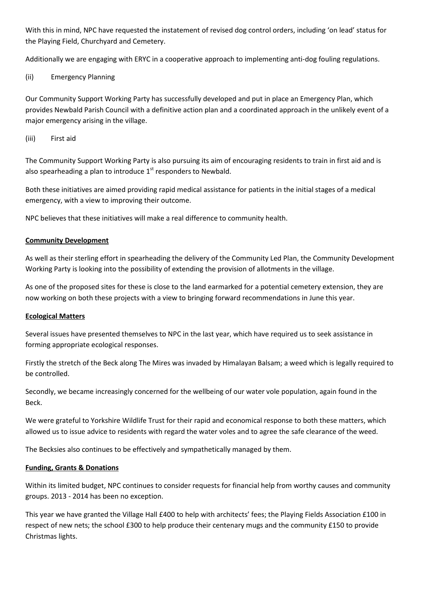With this in mind, NPC have requested the instatement of revised dog control orders, including 'on lead' status for the Playing Field, Churchyard and Cemetery.

Additionally we are engaging with ERYC in a cooperative approach to implementing anti-dog fouling regulations.

#### (ii) Emergency Planning

Our Community Support Working Party has successfully developed and put in place an Emergency Plan, which provides Newbald Parish Council with a definitive action plan and a coordinated approach in the unlikely event of a major emergency arising in the village.

(iii) First aid

The Community Support Working Party is also pursuing its aim of encouraging residents to train in first aid and is also spearheading a plan to introduce  $1<sup>st</sup>$  responders to Newbald.

Both these initiatives are aimed providing rapid medical assistance for patients in the initial stages of a medical emergency, with a view to improving their outcome.

NPC believes that these initiatives will make a real difference to community health.

#### **Community Development**

As well as their sterling effort in spearheading the delivery of the Community Led Plan, the Community Development Working Party is looking into the possibility of extending the provision of allotments in the village.

As one of the proposed sites for these is close to the land earmarked for a potential cemetery extension, they are now working on both these projects with a view to bringing forward recommendations in June this year.

#### **Ecological Matters**

Several issues have presented themselves to NPC in the last year, which have required us to seek assistance in forming appropriate ecological responses.

Firstly the stretch of the Beck along The Mires was invaded by Himalayan Balsam; a weed which is legally required to be controlled.

Secondly, we became increasingly concerned for the wellbeing of our water vole population, again found in the Beck.

We were grateful to Yorkshire Wildlife Trust for their rapid and economical response to both these matters, which allowed us to issue advice to residents with regard the water voles and to agree the safe clearance of the weed.

The Becksies also continues to be effectively and sympathetically managed by them.

#### **Funding, Grants & Donations**

Within its limited budget, NPC continues to consider requests for financial help from worthy causes and community groups. 2013 - 2014 has been no exception.

This year we have granted the Village Hall £400 to help with architects' fees; the Playing Fields Association £100 in respect of new nets; the school £300 to help produce their centenary mugs and the community £150 to provide Christmas lights.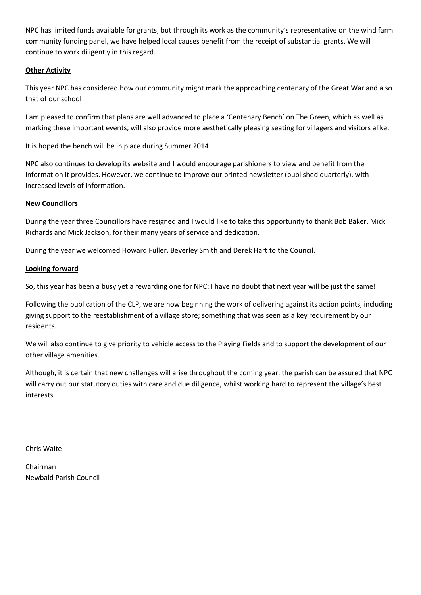NPC has limited funds available for grants, but through its work as the community's representative on the wind farm community funding panel, we have helped local causes benefit from the receipt of substantial grants. We will continue to work diligently in this regard.

#### **Other Activity**

This year NPC has considered how our community might mark the approaching centenary of the Great War and also that of our school!

I am pleased to confirm that plans are well advanced to place a 'Centenary Bench' on The Green, which as well as marking these important events, will also provide more aesthetically pleasing seating for villagers and visitors alike.

It is hoped the bench will be in place during Summer 2014.

NPC also continues to develop its website and I would encourage parishioners to view and benefit from the information it provides. However, we continue to improve our printed newsletter (published quarterly), with increased levels of information.

#### **New Councillors**

During the year three Councillors have resigned and I would like to take this opportunity to thank Bob Baker, Mick Richards and Mick Jackson, for their many years of service and dedication.

During the year we welcomed Howard Fuller, Beverley Smith and Derek Hart to the Council.

#### **Looking forward**

So, this year has been a busy yet a rewarding one for NPC: I have no doubt that next year will be just the same!

Following the publication of the CLP, we are now beginning the work of delivering against its action points, including giving support to the reestablishment of a village store; something that was seen as a key requirement by our residents.

We will also continue to give priority to vehicle access to the Playing Fields and to support the development of our other village amenities.

Although, it is certain that new challenges will arise throughout the coming year, the parish can be assured that NPC will carry out our statutory duties with care and due diligence, whilst working hard to represent the village's best interests.

Chris Waite

Chairman Newbald Parish Council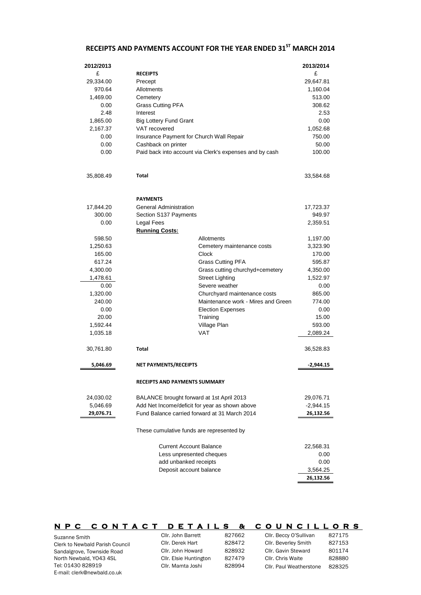### **RECEIPTS AND PAYMENTS ACCOUNT FOR THE YEAR ENDED 31ST MARCH 2014**

| 2012/2013     |                                           |                                                         | 2013/2014       |
|---------------|-------------------------------------------|---------------------------------------------------------|-----------------|
| £             | <b>RECEIPTS</b>                           |                                                         | £               |
| 29,334.00     | Precept                                   |                                                         | 29,647.81       |
| 970.64        | Allotments                                |                                                         | 1,160.04        |
| 1,469.00      | Cemetery                                  |                                                         | 513.00          |
| 0.00          | <b>Grass Cutting PFA</b>                  |                                                         | 308.62          |
| 2.48          | Interest                                  |                                                         | 2.53            |
| 1,865.00      | <b>Big Lottery Fund Grant</b>             |                                                         | 0.00            |
| 2,167.37      | VAT recovered                             |                                                         | 1,052.68        |
| 0.00          | Insurance Payment for Church Wall Repair  |                                                         | 750.00          |
| 0.00          | Cashback on printer                       |                                                         | 50.00           |
| 0.00          |                                           | Paid back into account via Clerk's expenses and by cash | 100.00          |
| 35,808.49     | Total                                     |                                                         | 33,584.68       |
|               | <b>PAYMENTS</b>                           |                                                         |                 |
| 17,844.20     | General Administration                    |                                                         | 17,723.37       |
| 300.00        | Section S137 Payments                     |                                                         | 949.97          |
| 0.00          | Legal Fees                                |                                                         | 2,359.51        |
|               | <b>Running Costs:</b>                     |                                                         |                 |
| 598.50        |                                           | Allotments                                              | 1,197.00        |
| 1,250.63      |                                           | Cemetery maintenance costs                              | 3,323.90        |
| 165.00        |                                           | Clock                                                   | 170.00          |
| 617.24        |                                           | <b>Grass Cutting PFA</b>                                | 595.87          |
| 4,300.00      |                                           | Grass cutting churchyd+cemetery                         | 4,350.00        |
| 1,478.61      |                                           | <b>Street Lighting</b>                                  | 1,522.97        |
| 0.00          |                                           | Severe weather                                          | 0.00            |
| 1,320.00      |                                           | Churchyard maintenance costs                            | 865.00          |
| 240.00        |                                           | Maintenance work - Mires and Green                      | 774.00          |
| 0.00<br>20.00 |                                           | <b>Election Expenses</b>                                | 0.00            |
| 1,592.44      |                                           | Training<br>Village Plan                                | 15.00<br>593.00 |
| 1,035.18      |                                           | <b>VAT</b>                                              | 2,089.24        |
|               |                                           |                                                         |                 |
| 30,761.80     | Total                                     |                                                         | 36,528.83       |
| 5,046.69      | NET PAYMENTS/RECEIPTS                     |                                                         | -2,944.15       |
|               | <b>RECEIPTS AND PAYMENTS SUMMARY</b>      |                                                         |                 |
| 24,030.02     | BALANCE brought forward at 1st April 2013 |                                                         | 29,076.71       |
| 5,046.69      |                                           | Add Net Income/deficit for year as shown above          | $-2,944.15$     |
| 29,076.71     |                                           | Fund Balance carried forward at 31 March 2014           | 26,132.56       |
|               | These cumulative funds are represented by |                                                         |                 |
|               | <b>Current Account Balance</b>            |                                                         | 22,568.31       |
|               |                                           | Less unpresented cheques                                | 0.00            |
|               | add unbanked receipts                     |                                                         | 0.00            |
|               | Deposit account balance                   |                                                         | 3,564.25        |
|               |                                           |                                                         | 26,132.56       |

| <b>CONTACT</b><br><b>NPC</b>           | DETAILS                | 8.     | COUNCILLORS             |        |
|----------------------------------------|------------------------|--------|-------------------------|--------|
| Suzanne Smith                          | Cllr. John Barrett     | 827662 | Cllr. Beccy O'Sullivan  | 827175 |
| <b>Clerk to Newbald Parish Council</b> | Cllr. Derek Hart       | 828472 | Cllr. Beverley Smith    | 827153 |
| Sandalgrove, Townside Road             | Cllr. John Howard      | 828932 | Cllr. Gavin Steward     | 801174 |
| North Newbald, Y043 4SL                | Cllr. Elsie Huntington | 827479 | Cllr. Chris Waite       | 828880 |
| Tel: 01430 828919                      | Cllr. Mamta Joshi      | 828994 | Cllr. Paul Weatherstone | 828325 |
| E-mail: clerk@newbald.co.uk            |                        |        |                         |        |